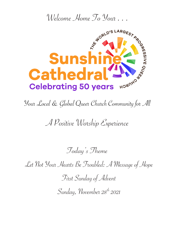

Your Local & Global Queer Church Community for All

A Positive Worship Experience

Today's Theme

Let Not Your Hearts Be Troubled: A Message of Hope

First Sunday of Advent

Sunday, November 28<sup>th</sup> 2021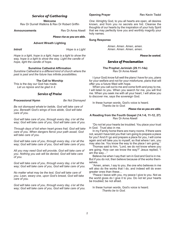### *Service of Gathering*

**Welcome**

Rev Dr Durrell Watkins & Rev Dr Robert Griffin

**Announcements** Rev Dr Anne Atwell

#### *Please rise as you are able.*

#### **Advent Wreath Lighting**

*Introit Hope is a Light* 

*Hope is a light, hope is a light, hope is a light to show the way, hope is a light to show the way. Light the candle of hope, light the candle of hope.*

#### **Sunshine Cathedral Affirmation**

*Sunshine Cathedral is a different kind of church where the past is past and the future has infinite possibilities.*

**The Call to Worship**

This is the day our God has made. *Let us rejoice and be glad in it.*

#### *Service of Praise*

**Processional Hymn** *Be Not Dismayed*

*Be not dismayed whate'er betide, God will take care of you. Beneath God's wings of love abide, God will take care of you.*

*God will take care of you, through every day, o'er all the way; God will take care of you, God will take care of you.*

*Through days of toil when heart grows frail, God will take care of you. When dangers fierce your path assail, God will take care of you.*

*God will take care of you, through every day, o'er all the way; God will take care of you, God will take care of you.*

*All you may need God will provide, God will take care of you. Nothing you ask will be denied, God will take care of you.*

*God will take care of you, through every day, o'er all the way; God will take care of you, God will take care of you.*

*No matter what may be the test, God will take care of you. Lean, weary one, upon God's breast, God will take care of you.*

*God will take care of you, through every day, o'er all the way; God will take care of you, God will take care of you.*

**Opening Prayer**  Rev Kevin Tisdol

*One:* Almighty God, to you all hearts are open, all desires known, and from you no secrets are hid. Cleanse the thoughts of our hearts by the inspiration of your holy Spirit that we may perfectly love you and worthily magnify your holy names.

#### **Sung Response**

*Amen. Amen. Amen, amen. Amen. Amen. Amen, amen.*

#### *Please be seated.*

#### *Service of Proclamation*

#### **The Prophet Jerimiah (29.11-14a)**  Rev Dr Anne Atwell

I (your God) know full well the plans I have for you, plans for your welfare and not for your misfortune, plans that will offer you a future filled with hope.

When you call out to me and come forth and pray to me, I will listen to you. When you search for me, you will find me. When you seek me with all your heart, I will allow you to discover me, says the sovereign God.

In these human words, God's voice is heard. *Thanks be to God.*

#### *Please rise as you are able.*

#### **A Reading from the Fourth Gospel (14.1-6, 11-12, 27)**  Rev Dr Anne Atwell

"Do not let your hearts be troubled. You place your trust in God. Trust also in me.

In my Family home there are many rooms. If there were not, would I have told you that I am going to prepare a place for you? And if I go and prepare a place for you, I will come again and will take you to myself, so that where I am, you may also be. You know the way to the place I am going."

Thomas said to him, "Lord, we do not know where you are going. How can we know the way?" Jesus replied, "I am the way…"

Believe me when I say that I am in God and God is in me. But if you do not, then believe because of the works themselves.

"Amen, amen, I say to you, the one who believes in me will also do the works that I do, and indeed will do even greater ones than these…

"Peace I leave with you, my peace I give to you. Not as the world gives do I give it to you. Do not let your hearts be troubled; be not afraid.

In these human words, God's voice is heard. *Thanks be to God.*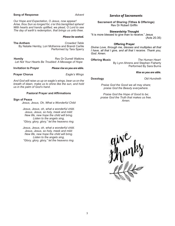#### **Song of Response** *Advent*

*Our Hope and Expectation, O Jesus, now appear! Arise, thou Sun so longed for, o'er this benighted sphere! With hearts and hands uplifted, we plead, O Lord to see The day of earth's redemption, that brings us unto thee.*

#### *Please be seated.*

**The Anthem** *Crowded Table* By Natalie Hemby, Lori McKenna and Brandi Carlile Performed by Tara Sperry

**Homily Rev Dr Durrell Watkins** *Let Not Your Hearts Be Troubled: A Message of Hope*

**Invitation to Prayer** *Please rise as you are able.*

**Prayer Chorus** *Eagle's Wings* 

*And God will raise us up on eagle's wings, bear us on the breath of dawn, make us to shine like the sun, and hold us in the palm of God's hand.* 

#### **Pastoral Prayer and Affirmations**

#### **Sign of Peace**

*Jesus, Jesus, Oh, What a Wonderful Child* 

*Jesus, Jesus, oh, what a wonderful child. Jesus, Jesus, so holy, meek and mild: New life, new hope the child will bring. Listen to the angels sing, "Glory, glory, glory," let the heavens ring.*

*Jesus, Jesus, oh, what a wonderful child. Jesus, Jesus, so holy, meek and mild: New life, new hope the child will bring. Listen to the angels sing, "Glory, glory, glory," let the heavens ring.*

*Service of Sacraments*

**Sacrament of Sharing (Tithes & Offerings)** Rev Dr Robert Griffin

#### **Stewardship Thought**

"It is more blessed to give than to receive." Jesus (Acts 20.35)

#### **Offering Prayer**

*Divine Love, through me, blesses and multiplies all that I have, all that I give, and all that I receive. Thank you, God. Amen.*

**Offering Music** *The Human Heart* By Lynn Ahrens and Stephen Flaherty Performed By Sara Burns

#### *Rise as you are able.*

**Doxology** *Old Hundreth*

*Praise God the Good we all may share; praise God the Beauty everywhere.*

*Praise God the Hope of Good to be; praise God the Truth that makes us free. Amen.*

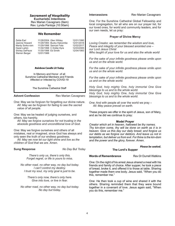#### *Sacrament of Hospitality* **Eucharistic Intentions**

Rev Marian Cavagnaro (9am) Rev. Lynda Pantoja (10:30am)

#### **We Remember**

| Zelda Earl            |                     | 11/28/2004 Glen Wildey    | 12/01/1990 |
|-----------------------|---------------------|---------------------------|------------|
| Jeanne Howard         |                     | 11/29/1993 Bucky Halcombe | 12/01/2018 |
| Mardy Sorko-ram       |                     | 11/29/1998 Samuel Fata    | 12/02/2017 |
| Hazel Larkin          |                     | 11/30/1998 C Eddie Hyre   | 12/03/2005 |
| <b>Shirley DePauw</b> | 11/30/1998 Ed Smith |                           | 12/04/1993 |
| Warren Berger         | 12/01/1988          |                           |            |
|                       |                     |                           |            |

#### *Rainbow Candle Lit Today*

In Memory and Honor of all Sunshine Cathedral Members and Friends Affected or Infected by COVID-19

> by The Sunshine Cathedral Staff

**Advent Confession** Rev Marian Cavagnaro

One: May we be forgiven for forgetting our divine nature. *All: May we be forgiven for failing to see the sacred value of all people.*

One: May we be healed of judging ourselves, and others, too harshly.

*All: May we forgive ourselves for not trusting in the absolute goodness and unconditional love of God.*

One: May we forgive ourselves and others of all mistakes, real or imagined, since God has always and only seen the truth of our endless goodness.

*All: May we now let our light shine and live as the children of God that we are. Amen.*

**Sung Response** *No Day But Today*

*There's only us, there's only this. Forget regret, or life is yours to miss.*

*No other road, no other way, no day but today. I can't control my destiny. I trust my soul, my only goal is just to be.*

> *There's only now, there's only here. Give into love, or live in fear.*

*No other road, no other way, no day but today. No day but today.*

**Intercessions** Rev Marian Cavagnaro

One: For the Sunshine Cathedral Global Fellowship and local congregation, for all who are on our prayer list, for our loved ones, for world and community leaders, and for our own needs, let us pray:

#### **Prayer of Divine Mercy**

*Loving Creator, we remember the wisdom and love, Peace and integrity of your blessed anointed one – our Lord Jesus Christ Who taught of your love for us and also the whole world*

*For the sake of your infinite goodness please smile upon us and on the whole world.*

*For the sake of your infinite goodness please smile upon us and on the whole world.*

*For the sake of your infinite goodness please smile upon us and on the whole world.*

*Holy God, holy mighty One, holy immortal One Give blessings to us and to the whole world. Holy God, holy mighty One, holy immortal One Give blessings to us and to the whole world.*

One: And with people all over the world we pray – *All: May peace prevail on earth.*

These prayers we offer in the spirit of Jesus, son of Mary, and as he did we continue to pray:

#### **Model Prayer**

*Creator which art in heaven, hallowed be thy names. Thy kin-dom come, thy will be done on earth as it is in heaven. Give us this day our daily bread; and forgive us our debts as we forgive our debtors. And leave us not in temptation, but deliver us from evil. For thine is the kin-dom and the power and the glory, forever. Amen.*

#### *Please be seated.*

#### **The Lord's Supper**

**Words of Remembrance** Rev Dr Durrell Watkins

One: On the night of his arrest Jesus shared a meal with his friends and family of choice. After supper, he took a piece of bread, broke it, and offered it to those at table. Sharing together made them one body. Jesus said, "When you do this, remember me."

One: He then took a cup of wine and shared it with the others. Sharing reminded them that they were bound together in a covenant of love. Jesus again said, "When you do this, remember me."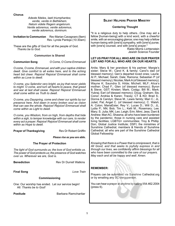**Chorus**

*Adeste fideles, laeti triumphantes; venite, venite in Bethlehem. Natum videte Regem angelorum. Venite adoremus, venite adoremus, venite adoremus, dominum.*

**Invitation to Communion** Rev Marian Cavagnaro (9am) Rev. Lynda Pantoja (10:30am)

These are the gifts of God for all the people of God. *Thanks be to God.*

#### **Communion is Shared**

#### **Communion Song** *O Come, O Come Emmanuel*

*O come, O come, Emmanuel, and with your captive children dwell. Give comfort to all exiles here, and to the aching heart bid cheer. Rejoice! Rejoice! Emmanuel shall come within as Love to dwell.*

*O come, you Splendor very bright, as joy that never yields to might. O come, and turn all hearts to peace, that greed and war at last shall cease. Rejoice! Rejoice! Emmanuel shall come within as Truth to dwell.*

*O come, you Dayspring, come and cheer our spirits by our presence here. And dawn in every broken soul as vision that can see the whole. Rejoice! Rejoice! Emmanuel shall come within as Light to dwell.*

*O come, you Wisdom, from on high, from depths that hide within a sigh, to temper knowledge with our care, to render every act a prayer. Rejoice! Rejoice! Emmanuel shall come within as Hope to dwell.*

**Prayer of Thanksgiving**  Rev Dr Robert Griiffin

*Please rise as you are able.*

### **The Prayer of Protection**

*The light of God surrounds us; the love of God enfolds us. The power of God protects us; the presence of God watches over us. Wherever we are, God is.*

| <b>Benediction</b> | <b>Rev Dr Durrell Watkins</b> |  |  |            |  |
|--------------------|-------------------------------|--|--|------------|--|
| <b>Final Song</b>  |                               |  |  | Love Train |  |
|                    | <b>Commissioning</b>          |  |  |            |  |
|                    |                               |  |  |            |  |

One: Our worship has ended. Let our service begin! All: *Thanks be to God!*

**Postlude Barbara Ramcharitar** 

### **Silent Helpers Prayer Ministry**

#### **Centering Thought**

"It is a religious duty to help others...One may aid a fellow [human-being] with a kind word, with a cheerful smile, with an encouraging glance; one may help a fellow human-being with [one's] sympathy, with [one's] purse, with [one's] counsel, and with [one's] prayer."

Rabbi Morris Lichtenstein Jewish Science Founder

#### **LET US PRAY FOR ALL WHO ARE ON OUR PRAYER LIST AND FOR ALL WHO ARE ON OUR HEARTS:**

Anita; Mary & her grandson & his partner; Margie's sister; Steve W.; Carol K. & family; Carol's dad (of blessed memory); Gen's departed loved ones; Laurie; Al P.; Michael; Sarah; Dale; Ramona; Sebastian P (of blessed memory); Nicolas; Mark A (of blessed memory); Wayne K; Saundra S; Hilde; Michell; MLF; Alice's mother; Chad F.; Glen (of blessed memory); Byron & Steve; GST; Kirsten; Mark; Codgy; Bill M.; Mark; Yubraj; Earl (of blessed memory); Doug; Graham; Sis; Conor; Andrea & Karen; Tracey; CT & KD; Brad S.; Donna & Carolyn; Steve M.; Lewis family; Mari C.; JL; Juliet; Pat; Angel C. (of blessed memory); C. Walsh; A. Colon; MariaEster; Rey V.; Lucas D.; Will D.; JL; Lydia P.; NN; Bob; Tim L.; Kelli M.; Rosemary; Lee; Mary; S. Julia; MK; Lex; Leigh; Erin; Mimi; Jess; Dani & Andrew; Mari AC; Shawna; all who have been burdened by the pandemic; those in nursing care and assisted living facilities; LGBTQ+ communities; Troy & Phillip; Don; Global Justice Institute; DSFI; the ministries of Sunshine Cathedral; members & friends of Sunshine Cathedral; all who are part of the Sunshine Cathedral Global Fellowship

*Knowing that there is a Power that is omnipresent, that is All Good, and that seeks to joyfully express in and through our lives, we confidently affirm blessings for all who have been committed to the care of our prayers. May each and all be happy and well. Amen.*

### **REMEMBER:**

Prayers can be submitted via Sunshine Cathedral.org or by emailing any SC clergyperson.

You can hear a prayer at anytime by calling 954.462.2004 (press 6).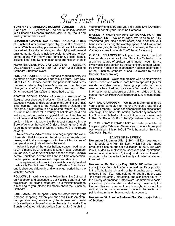SunBurst News

**SUNSHINE CATHEDRAL HOLIDAY CONCERT** - Dec. 4 at 7 pm, FREE Admission. The annual holiday concert is a Sunshine Cathedral tradition. Join us on Dec. 4 and invite your friends as well.

**BRANDEN & JAMES - Dec. 5 Join BRANDEN & JAMES**  at Sunshine Cathedral with special guests Effie Passero & Jonah Wei-Hass as they present A Christmas Gift: a festive concert full of vocal acrobatics, and electrifying instrumental arrangements. Music to include secular & religious holiday songs, along with many other familiar & original songs. Tickets: \$35 - \$55. Sunshinecathedral.org/holiday-events/

**NOVA SINGERS HOLIDAY CONCERT** - TUESDAY, DECEMBER 7, 2021 AT 7:30 PM – 9:30 PM at Sunshine Cathedral. Ticketed event.

**HOLIDAY FOOD SHARING** - our food sharing ministry will be offering holiday grocery bags to our clients. From Nov. 28 to Dec. 19. Please donate non-perishable food items that we can share. Any loaves & fishes team member can give you a list of what we need. Direct questions to Rev. Dr. Anne Atwell (anne@sunshinecathedral.org).

**ADVENT BEGINS TODAY** - Advent is a season of the liturgical year observed in Western Christianity as a time of expectant waiting and preparation for the coming of Christ. This "coming" refers to the Nativity (birth of Jesus) and for some, it also refers to an expected "return" of Christ. At Sunshine Cathedral, a variety of beliefs are held and welcome, but our pastors suggest that the Christ Nature is within us and the Christ Principle is always present. Our senior minister interprets the Pentecost narrative in the Book of Acts as the spirit of Christ enlivening the Church to be the returned body of Christ, and so, we are the return of Christ!

Nevertheless, Advent calls us to begin again the cycle of worship that focuses on the story of our wayshower, Jesus, and that encourages us to live out his values of compassion and justice-love in the world.

Advent is part of the wider holiday season leading us to Christmas Day. Christmas is a 12 day feast (December 25-January 5) while Advent is the season of four Sundays before Christmas. Advent, like Lent, is a time of reflection, contemplation, and increased prayer and devotion.

The equivalent of Advent in Eastern Christianity is called the Nativity Fast but doesn't begin the Eastern Church year and is observed differently and for a longer period than the Western Advent.

**FOLLOW US** - We invite you to Follow Sunshine Cathedral on Facebook and subscribe to our YouTube channel. We are also on Tik Tok and Instagram. If our ministry has been a blessing to you, please tell others about the Sunshine Cathedral.

**SMILE.AMAZON** - Support Sunshine Cathedral with your Amazon shopping. When you shop via Smile.Amazon. com you can designate a charity that Amazon will donate to (a small percentage of your purchases). Just make The Sunshine Cathedral Metropolitan Community Church, inc.

your charity and every time you shop using Smile.Amazon. com you benefit your Sunshine Cathedral.

**MASKS IN WORSHIP ARE OPTIONAL FOR THE VACCINATED** – We encourage everyone to be fully vaccinated (including booster shots) and to sanitize your hands when entering the worship space. And if you aren't feeling well, stay home (when you're not well, let Sunshine Cathedral come to you via YouTube or Facebook).

**GLOBAL FELLOWSHIP** - If you don't live in the Fort Lauderdale area but are finding Sunshine Cathedral to be a primary source of spiritual enrichment in your life, we invite you to consider joining the Sunshine Cathedral Global Fellowship. You can learn about how you can become part of the Sunshine Cathedral Global Fellowship by visiting SunshineCathedral.org

**HELP NEEDED** – We need more help with running worship slides. Those who wish to learn how to operate lights for worship are also needed. Training is provided and one need only be scheduled once every few weeks. For more information or to schedule a training on slides or lights, contact Rev. Dr. Robert Griffin (robert@sunshinecathedral. org).

**CAPITAL CAMPAIGN** - We have launched a three year capital campaign to improve various areas of our physical property. Please consider making a pledge to that campaign. For more information, contact any member of the Sunshine Cathedral Board of Governors or reach out to Rev. Dr. Robert Griffin (robert@sunshinecathedral.org)

**OUR SUNDAY BROADCAST** is made possible by Happening Out Television Network and donors who support our televised ministry. HOUT TV is housed at Sunshine Cathedral Square.

#### **SAINTS OF THE WEEK**

**November 28: James Allen (1864 – 1912)** – best known for his book As A Man Thinketh, which has been mass produced since its original publication in 1903. His work is still lauded by motivational speakers and inspirational writers. Allen counseled: "[One's] mind may be likened to a garden, which may be intelligently cultivated or allowed to run wild."

**November 29: Dorothy Day (1897-1980)**—Prophet of social justice. Despite the fact she held no official position in the Catholic church, and that her thoughts were mostly rejected in her life, it was said at her death that she was "the most influential, interesting, and significant figure" in the history of American Catholicism. Committed to social justice and pacifism, she founded a lay movement, the Catholic Worker movement, which sought to live out the radical gospel commandment of love in the social and political realm by embracing voluntary poverty.

#### **November 30: Apostle Andrew (First Century)** – Patron of Scotland.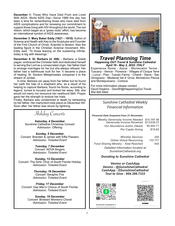**December 1:** Those Who Have Died From and Lived With AIDS: World AIDS Day—Since 1988 this day has been a time for remembering those who have died from AIDS complications and for renewing our commitment to support those living with HIV throughout the world. The red ribbon, which began as a "grass roots" effort, has become an international symbol of AIDS awareness.

**December 3: Mary Baker Eddy (1821 – 1910)**: Author of Science and Health with Key to the Scriptures and Founder of the First Church of Christ, Scientist in Boston. Also the leading figure in the Christian Science movement. Mrs. Eddy said, "To those leaning on the sustaining infinite, today is big with blessings."

**December 4: St. Barbara (d. 306)** – Barbara, a Greek pagan, embraced the Christian faith and dedicated herself to serving the Lord as a consecrated virgin. Her father tried to arrange marriages for her but she always refused. Her father had a bathhouse built for her. It became a place of healing. St. Simeon Metaphrastes compared it to the stream of Jordan.

In time, Barbara ran away from her father but he found her (with the help of a shepherd who, as a result of his helping to capture Barbara, found his flocks, according to legend, turned to locusts) and locked her away. Still, she would not marry nor renounce her newfound faith. Prayer gave her the strength to endure her trials.

Finally, Barbara was condemned to death by beheading by her father. Her martyrdom took place on December 4th. Soon after, her father was struck by lightning.

Holiday Concerts

*Saturday, 4 December* Sunshine Cathedral Christmas Concert *Admission: Offering*

*Sunday, 5 December* Concert: Branden & James with Effie Passero *Admission: Ticketed Event*

> *Tuesday, 7 December* Concert: NOVA Singers *Admission: Ticketed Event*

*Sunday, 12 December* Concert: The Girls' Choir of South Florida Holiday *Admission: Ticketed Event*

> *Thursday, 16 December*  Concert: Seraphic Fire *Admission: Ticketed Event*

*Friday, 17 December* Concert: Gay Men's Chorus of South Florida *Admission: Ticketed Event*

> *Sunday, 19 December* Concert: Broward Women's Choral *Admission: Ticketed Event*



# *Travel Planning Time Happening OUT Travel & Sunshine Cathedral April 19 - May 2, 2022: ITALY*

Experience Rome - Assisi - Montecatini Terme - Tuscany - Venice - Florence - Villages of Cinque Terre - Lucca - Pisa - Tuscan Farms - Chianti - Siena - San Gimignano - Medieval Val d' Orcia, Montalcino Pienza and Montepulciano - Cortona

For more information please contact: David Hopkins - DavidH@HappeningOut.Travel 954.900.5942

## *Sunshine Cathedral Weekly Financial Information*

*Financial Data Snapshot from 21 November*

| <b>Weekly Generosity Income Needed</b><br>Generosity Income Received | \$10.797.56<br>\$13,638.27 |
|----------------------------------------------------------------------|----------------------------|
| Our Abundance and/or (Need)                                          | \$2,840.71                 |
| Per Capita Giving                                                    | \$19.83                    |
| <b>Worship Services</b>                                              | 250                        |
| <b>Online Virtual Resourcing</b>                                     | 122,721                    |
| Food Sharing Ministry - Total Reached                                | 555                        |
| Detailed information located at<br>SunshineCathedral.org             |                            |

*Donating to Sunshine Cathedral* 

*Venmo or CashApp Venmo - @SunshineCathedral CashApp - \$SunshineCathedral Text to Give - 954.399.7333*





Sunshine Cathedral **B** Scan to pay \$SunshineCathedral